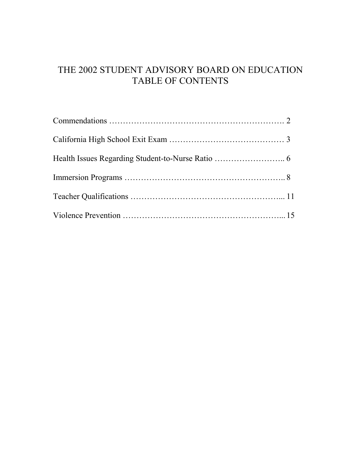# THE 2002 STUDENT ADVISORY BOARD ON EDUCATION TABLE OF CONTENTS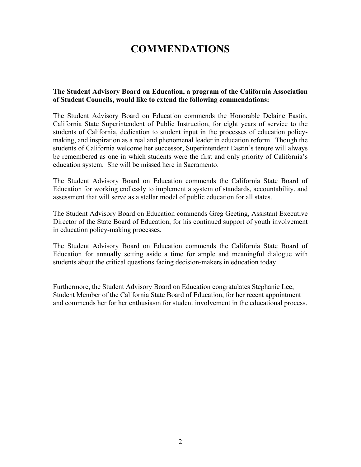# **COMMENDATIONS**

#### **The Student Advisory Board on Education, a program of the California Association of Student Councils, would like to extend the following commendations:**

The Student Advisory Board on Education commends the Honorable Delaine Eastin, California State Superintendent of Public Instruction, for eight years of service to the students of California, dedication to student input in the processes of education policymaking, and inspiration as a real and phenomenal leader in education reform. Though the students of California welcome her successor, Superintendent Eastin's tenure will always be remembered as one in which students were the first and only priority of California's education system. She will be missed here in Sacramento.

The Student Advisory Board on Education commends the California State Board of Education for working endlessly to implement a system of standards, accountability, and assessment that will serve as a stellar model of public education for all states.

The Student Advisory Board on Education commends Greg Geeting, Assistant Executive Director of the State Board of Education, for his continued support of youth involvement in education policy-making processes.

The Student Advisory Board on Education commends the California State Board of Education for annually setting aside a time for ample and meaningful dialogue with students about the critical questions facing decision-makers in education today.

Furthermore, the Student Advisory Board on Education congratulates Stephanie Lee, Student Member of the California State Board of Education, for her recent appointment and commends her for her enthusiasm for student involvement in the educational process.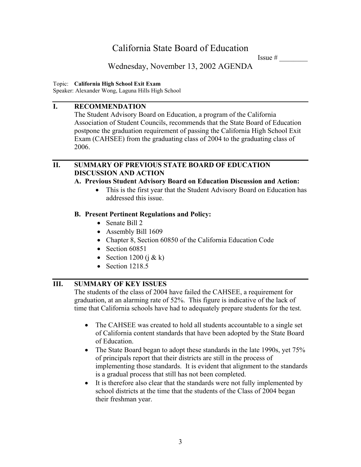Issue  $#$ 

Wednesday, November 13, 2002 AGENDA

Topic: **California High School Exit Exam** 

Speaker: Alexander Wong, Laguna Hills High School

## **I. RECOMMENDATION**

The Student Advisory Board on Education, a program of the California Association of Student Councils, recommends that the State Board of Education postpone the graduation requirement of passing the California High School Exit Exam (CAHSEE) from the graduating class of 2004 to the graduating class of 2006.

## **II. SUMMARY OF PREVIOUS STATE BOARD OF EDUCATION DISCUSSION AND ACTION**

## **A. Previous Student Advisory Board on Education Discussion and Action:**

• This is the first year that the Student Advisory Board on Education has addressed this issue.

## **B. Present Pertinent Regulations and Policy:**

- Senate Bill 2
- Assembly Bill 1609
- Chapter 8, Section 60850 of the California Education Code
- Section 60851
- Section 1200 ( $\hat{i} \& k$ )
- Section 1218.5

## **III. SUMMARY OF KEY ISSUES**

The students of the class of 2004 have failed the CAHSEE, a requirement for graduation, at an alarming rate of 52%. This figure is indicative of the lack of time that California schools have had to adequately prepare students for the test.

- The CAHSEE was created to hold all students accountable to a single set of California content standards that have been adopted by the State Board of Education.
- The State Board began to adopt these standards in the late 1990s, yet 75% of principals report that their districts are still in the process of implementing those standards. It is evident that alignment to the standards is a gradual process that still has not been completed.
- It is therefore also clear that the standards were not fully implemented by school districts at the time that the students of the Class of 2004 began their freshman year.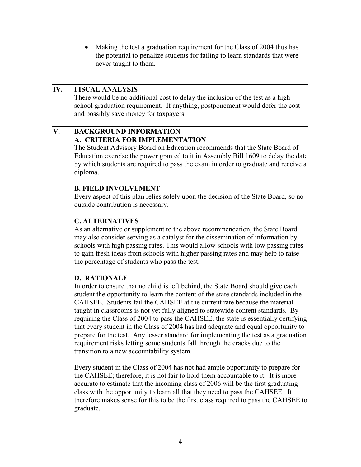• Making the test a graduation requirement for the Class of 2004 thus has the potential to penalize students for failing to learn standards that were never taught to them.

## **IV. FISCAL ANALYSIS**

There would be no additional cost to delay the inclusion of the test as a high school graduation requirement. If anything, postponement would defer the cost and possibly save money for taxpayers.

### **V. BACKGROUND INFORMATION A. CRITERIA FOR IMPLEMENTATION**

The Student Advisory Board on Education recommends that the State Board of Education exercise the power granted to it in Assembly Bill 1609 to delay the date by which students are required to pass the exam in order to graduate and receive a diploma.

#### **B. FIELD INVOLVEMENT**

Every aspect of this plan relies solely upon the decision of the State Board, so no outside contribution is necessary.

#### **C. ALTERNATIVES**

As an alternative or supplement to the above recommendation, the State Board may also consider serving as a catalyst for the dissemination of information by schools with high passing rates. This would allow schools with low passing rates to gain fresh ideas from schools with higher passing rates and may help to raise the percentage of students who pass the test.

#### **D. RATIONALE**

In order to ensure that no child is left behind, the State Board should give each student the opportunity to learn the content of the state standards included in the CAHSEE. Students fail the CAHSEE at the current rate because the material taught in classrooms is not yet fully aligned to statewide content standards. By requiring the Class of 2004 to pass the CAHSEE, the state is essentially certifying that every student in the Class of 2004 has had adequate and equal opportunity to prepare for the test. Any lesser standard for implementing the test as a graduation requirement risks letting some students fall through the cracks due to the transition to a new accountability system.

Every student in the Class of 2004 has not had ample opportunity to prepare for the CAHSEE; therefore, it is not fair to hold them accountable to it. It is more accurate to estimate that the incoming class of 2006 will be the first graduating class with the opportunity to learn all that they need to pass the CAHSEE. It therefore makes sense for this to be the first class required to pass the CAHSEE to graduate.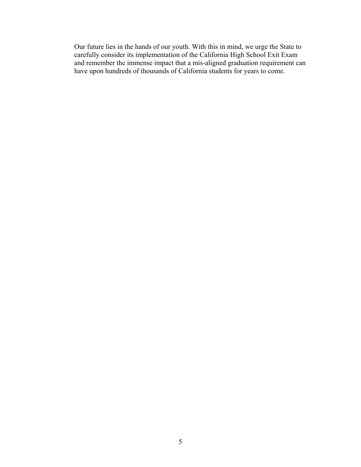Our future lies in the hands of our youth. With this in mind, we urge the State to carefully consider its implementation of the California High School Exit Exam and remember the immense impact that a mis-aligned graduation requirement can have upon hundreds of thousands of California students for years to come.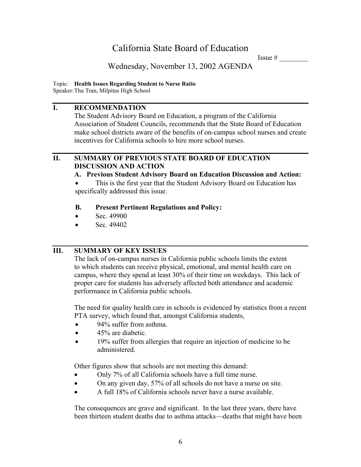Issue  $#$ 

## Wednesday, November 13, 2002 AGENDA

### Topic: **Health Issues Regarding Student to Nurse Ratio**

Speaker:Thu Tran, Milpitas High School

## **I. RECOMMENDATION**

The Student Advisory Board on Education, a program of the California Association of Student Councils, recommends that the State Board of Education make school districts aware of the benefits of on-campus school nurses and create incentives for California schools to hire more school nurses.

### **II. SUMMARY OF PREVIOUS STATE BOARD OF EDUCATION DISCUSSION AND ACTION**

### **A. Previous Student Advisory Board on Education Discussion and Action:**

This is the first year that the Student Advisory Board on Education has specifically addressed this issue.

## **B. Present Pertinent Regulations and Policy:**

- Sec. 49900
- Sec. 49402

## **III. SUMMARY OF KEY ISSUES**

The lack of on-campus nurses in California public schools limits the extent to which students can receive physical, emotional, and mental health care on campus, where they spend at least 30% of their time on weekdays. This lack of proper care for students has adversely affected both attendance and academic performance in California public schools.

The need for quality health care in schools is evidenced by statistics from a recent PTA survey, which found that, amongst California students,

- 94% suffer from asthma.
- 45% are diabetic.
- 19% suffer from allergies that require an injection of medicine to be administered.

Other figures show that schools are not meeting this demand:

- Only 7% of all California schools have a full time nurse.
- On any given day, 57% of all schools do not have a nurse on site.
- A full 18% of California schools never have a nurse available.

The consequences are grave and significant. In the last three years, there have been thirteen student deaths due to asthma attacks—deaths that might have been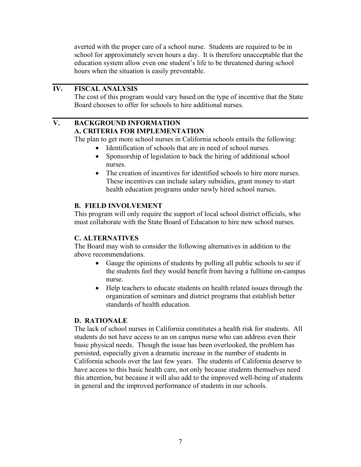averted with the proper care of a school nurse. Students are required to be in school for approximately seven hours a day. It is therefore unacceptable that the education system allow even one student's life to be threatened during school hours when the situation is easily preventable.

## **IV. FISCAL ANALYSIS**

The cost of this program would vary based on the type of incentive that the State Board chooses to offer for schools to hire additional nurses.

## **V. BACKGROUND INFORMATION A. CRITERIA FOR IMPLEMENTATION**

The plan to get more school nurses in California schools entails the following:

- Identification of schools that are in need of school nurses.
- Sponsorship of legislation to back the hiring of additional school nurses.
- The creation of incentives for identified schools to hire more nurses. These incentives can include salary subsidies, grant money to start health education programs under newly hired school nurses.

#### **B. FIELD INVOLVEMENT**

This program will only require the support of local school district officials, who must collaborate with the State Board of Education to hire new school nurses.

### **C. ALTERNATIVES**

The Board may wish to consider the following alternatives in addition to the above recommendations.

- Gauge the opinions of students by polling all public schools to see if the students feel they would benefit from having a fulltime on-campus nurse.
- Help teachers to educate students on health related issues through the organization of seminars and district programs that establish better standards of health education.

### **D. RATIONALE**

The lack of school nurses in California constitutes a health risk for students. All students do not have access to an on campus nurse who can address even their basic physical needs. Though the issue has been overlooked, the problem has persisted, especially given a dramatic increase in the number of students in California schools over the last few years. The students of California deserve to have access to this basic health care, not only because students themselves need this attention, but because it will also add to the improved well-being of students in general and the improved performance of students in our schools.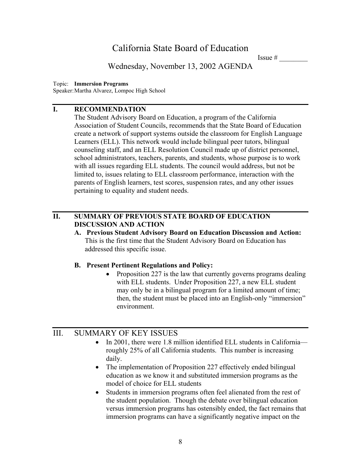Issue  $#$ 

Wednesday, November 13, 2002 AGENDA

#### Topic: **Immersion Programs**

Speaker:Martha Alvarez, Lompoc High School

## **I. RECOMMENDATION**

The Student Advisory Board on Education, a program of the California Association of Student Councils, recommends that the State Board of Education create a network of support systems outside the classroom for English Language Learners (ELL). This network would include bilingual peer tutors, bilingual counseling staff, and an ELL Resolution Council made up of district personnel, school administrators, teachers, parents, and students, whose purpose is to work with all issues regarding ELL students. The council would address, but not be limited to, issues relating to ELL classroom performance, interaction with the parents of English learners, test scores, suspension rates, and any other issues pertaining to equality and student needs.

## **II. SUMMARY OF PREVIOUS STATE BOARD OF EDUCATION DISCUSSION AND ACTION**

**A. Previous Student Advisory Board on Education Discussion and Action:**  This is the first time that the Student Advisory Board on Education has addressed this specific issue.

#### **B. Present Pertinent Regulations and Policy:**

• Proposition 227 is the law that currently governs programs dealing with ELL students. Under Proposition 227, a new ELL student may only be in a bilingual program for a limited amount of time; then, the student must be placed into an English-only "immersion" environment.

## III. SUMMARY OF KEY ISSUES

- In 2001, there were 1.8 million identified ELL students in California roughly 25% of all California students. This number is increasing daily.
- The implementation of Proposition 227 effectively ended bilingual education as we know it and substituted immersion programs as the model of choice for ELL students
- Students in immersion programs often feel alienated from the rest of the student population. Though the debate over bilingual education versus immersion programs has ostensibly ended, the fact remains that immersion programs can have a significantly negative impact on the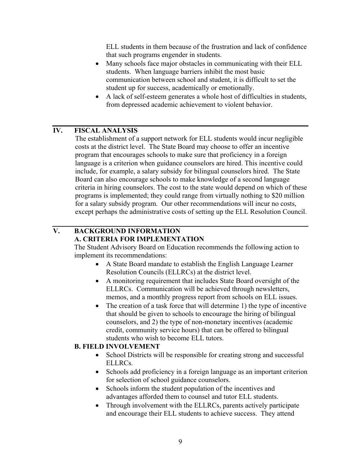ELL students in them because of the frustration and lack of confidence that such programs engender in students.

- Many schools face major obstacles in communicating with their ELL students. When language barriers inhibit the most basic communication between school and student, it is difficult to set the student up for success, academically or emotionally.
- A lack of self-esteem generates a whole host of difficulties in students, from depressed academic achievement to violent behavior.

## **IV. FISCAL ANALYSIS**

The establishment of a support network for ELL students would incur negligible costs at the district level. The State Board may choose to offer an incentive program that encourages schools to make sure that proficiency in a foreign language is a criterion when guidance counselors are hired. This incentive could include, for example, a salary subsidy for bilingual counselors hired. The State Board can also encourage schools to make knowledge of a second language criteria in hiring counselors. The cost to the state would depend on which of these programs is implemented; they could range from virtually nothing to \$20 million for a salary subsidy program. Our other recommendations will incur no costs, except perhaps the administrative costs of setting up the ELL Resolution Council.

## **V. BACKGROUND INFORMATION A. CRITERIA FOR IMPLEMENTATION**

The Student Advisory Board on Education recommends the following action to implement its recommendations:

- A State Board mandate to establish the English Language Learner Resolution Councils (ELLRCs) at the district level.
- A monitoring requirement that includes State Board oversight of the ELLRCs. Communication will be achieved through newsletters, memos, and a monthly progress report from schools on ELL issues.
- The creation of a task force that will determine 1) the type of incentive that should be given to schools to encourage the hiring of bilingual counselors, and 2) the type of non-monetary incentives (academic credit, community service hours) that can be offered to bilingual students who wish to become ELL tutors.

### **B. FIELD INVOLVEMENT**

- School Districts will be responsible for creating strong and successful ELLRCs.
- Schools add proficiency in a foreign language as an important criterion for selection of school guidance counselors.
- Schools inform the student population of the incentives and advantages afforded them to counsel and tutor ELL students.
- Through involvement with the ELLRCs, parents actively participate and encourage their ELL students to achieve success. They attend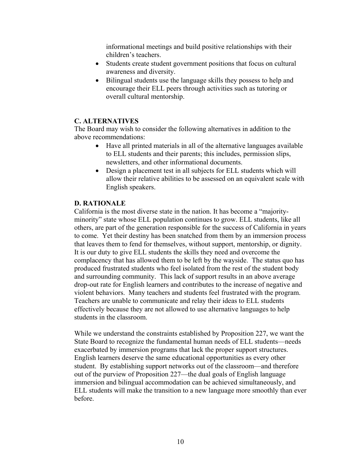informational meetings and build positive relationships with their children's teachers.

- Students create student government positions that focus on cultural awareness and diversity.
- Bilingual students use the language skills they possess to help and encourage their ELL peers through activities such as tutoring or overall cultural mentorship.

#### **C. ALTERNATIVES**

The Board may wish to consider the following alternatives in addition to the above recommendations:

- Have all printed materials in all of the alternative languages available to ELL students and their parents; this includes, permission slips, newsletters, and other informational documents.
- Design a placement test in all subjects for ELL students which will allow their relative abilities to be assessed on an equivalent scale with English speakers.

#### **D. RATIONALE**

California is the most diverse state in the nation. It has become a "majorityminority" state whose ELL population continues to grow. ELL students, like all others, are part of the generation responsible for the success of California in years to come. Yet their destiny has been snatched from them by an immersion process that leaves them to fend for themselves, without support, mentorship, or dignity. It is our duty to give ELL students the skills they need and overcome the complacency that has allowed them to be left by the wayside. The status quo has produced frustrated students who feel isolated from the rest of the student body and surrounding community. This lack of support results in an above average drop-out rate for English learners and contributes to the increase of negative and violent behaviors. Many teachers and students feel frustrated with the program. Teachers are unable to communicate and relay their ideas to ELL students effectively because they are not allowed to use alternative languages to help students in the classroom.

While we understand the constraints established by Proposition 227, we want the State Board to recognize the fundamental human needs of ELL students—needs exacerbated by immersion programs that lack the proper support structures. English learners deserve the same educational opportunities as every other student. By establishing support networks out of the classroom—and therefore out of the purview of Proposition 227—the dual goals of English language immersion and bilingual accommodation can be achieved simultaneously, and ELL students will make the transition to a new language more smoothly than ever before.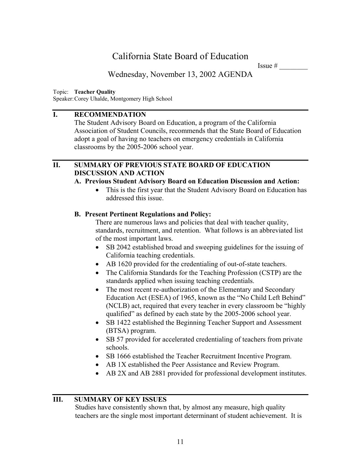Issue  $#$ 

Wednesday, November 13, 2002 AGENDA

Topic: **Teacher Quality** 

Speaker:Corey Uhalde, Montgomery High School

## **I. RECOMMENDATION**

The Student Advisory Board on Education, a program of the California Association of Student Councils, recommends that the State Board of Education adopt a goal of having no teachers on emergency credentials in California classrooms by the 2005-2006 school year.

## **II. SUMMARY OF PREVIOUS STATE BOARD OF EDUCATION DISCUSSION AND ACTION**

### **A. Previous Student Advisory Board on Education Discussion and Action:**

• This is the first year that the Student Advisory Board on Education has addressed this issue.

### **B. Present Pertinent Regulations and Policy:**

There are numerous laws and policies that deal with teacher quality, standards, recruitment, and retention. What follows is an abbreviated list of the most important laws.

- SB 2042 established broad and sweeping guidelines for the issuing of California teaching credentials.
- AB 1620 provided for the credentialing of out-of-state teachers.
- The California Standards for the Teaching Profession (CSTP) are the standards applied when issuing teaching credentials.
- The most recent re-authorization of the Elementary and Secondary Education Act (ESEA) of 1965, known as the "No Child Left Behind" (NCLB) act, required that every teacher in every classroom be "highly qualified" as defined by each state by the 2005-2006 school year.
- SB 1422 established the Beginning Teacher Support and Assessment (BTSA) program.
- SB 57 provided for accelerated credentialing of teachers from private schools.
- SB 1666 established the Teacher Recruitment Incentive Program.
- AB 1X established the Peer Assistance and Review Program.
- AB 2X and AB 2881 provided for professional development institutes.

### **III. SUMMARY OF KEY ISSUES**

Studies have consistently shown that, by almost any measure, high quality teachers are the single most important determinant of student achievement. It is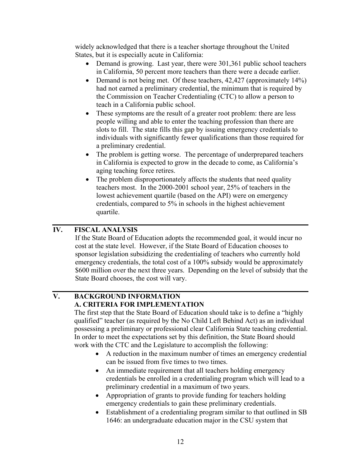widely acknowledged that there is a teacher shortage throughout the United States, but it is especially acute in California:

- Demand is growing. Last year, there were 301,361 public school teachers in California, 50 percent more teachers than there were a decade earlier.
- Demand is not being met. Of these teachers, 42,427 (approximately 14%) had not earned a preliminary credential, the minimum that is required by the Commission on Teacher Credentialing (CTC) to allow a person to teach in a California public school.
- These symptoms are the result of a greater root problem: there are less people willing and able to enter the teaching profession than there are slots to fill. The state fills this gap by issuing emergency credentials to individuals with significantly fewer qualifications than those required for a preliminary credential.
- The problem is getting worse. The percentage of underprepared teachers in California is expected to grow in the decade to come, as California's aging teaching force retires.
- The problem disproportionately affects the students that need quality teachers most. In the 2000-2001 school year, 25% of teachers in the lowest achievement quartile (based on the API) were on emergency credentials, compared to 5% in schools in the highest achievement quartile.

## **IV. FISCAL ANALYSIS**

If the State Board of Education adopts the recommended goal, it would incur no cost at the state level. However, if the State Board of Education chooses to sponsor legislation subsidizing the credentialing of teachers who currently hold emergency credentials, the total cost of a 100% subsidy would be approximately \$600 million over the next three years. Depending on the level of subsidy that the State Board chooses, the cost will vary.

# **V. BACKGROUND INFORMATION A. CRITERIA FOR IMPLEMENTATION**

The first step that the State Board of Education should take is to define a "highly qualified" teacher (as required by the No Child Left Behind Act) as an individual possessing a preliminary or professional clear California State teaching credential. In order to meet the expectations set by this definition, the State Board should work with the CTC and the Legislature to accomplish the following:

- A reduction in the maximum number of times an emergency credential can be issued from five times to two times.
- An immediate requirement that all teachers holding emergency credentials be enrolled in a credentialing program which will lead to a preliminary credential in a maximum of two years.
- Appropriation of grants to provide funding for teachers holding emergency credentials to gain these preliminary credentials.
- Establishment of a credentialing program similar to that outlined in SB 1646: an undergraduate education major in the CSU system that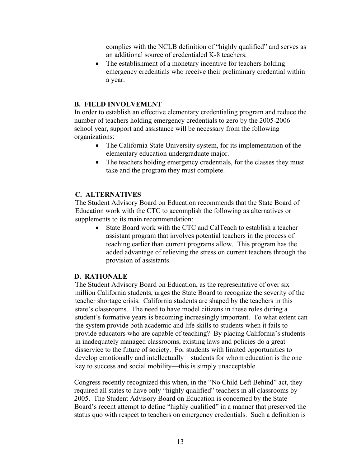complies with the NCLB definition of "highly qualified" and serves as an additional source of credentialed K-8 teachers.

• The establishment of a monetary incentive for teachers holding emergency credentials who receive their preliminary credential within a year.

#### **B. FIELD INVOLVEMENT**

In order to establish an effective elementary credentialing program and reduce the number of teachers holding emergency credentials to zero by the 2005-2006 school year, support and assistance will be necessary from the following organizations:

- The California State University system, for its implementation of the elementary education undergraduate major.
- The teachers holding emergency credentials, for the classes they must take and the program they must complete.

#### **C. ALTERNATIVES**

The Student Advisory Board on Education recommends that the State Board of Education work with the CTC to accomplish the following as alternatives or supplements to its main recommendation:

• State Board work with the CTC and CalTeach to establish a teacher assistant program that involves potential teachers in the process of teaching earlier than current programs allow. This program has the added advantage of relieving the stress on current teachers through the provision of assistants.

#### **D. RATIONALE**

The Student Advisory Board on Education, as the representative of over six million California students, urges the State Board to recognize the severity of the teacher shortage crisis. California students are shaped by the teachers in this state's classrooms. The need to have model citizens in these roles during a student's formative years is becoming increasingly important. To what extent can the system provide both academic and life skills to students when it fails to provide educators who are capable of teaching? By placing California's students in inadequately managed classrooms, existing laws and policies do a great disservice to the future of society. For students with limited opportunities to develop emotionally and intellectually—students for whom education is the one key to success and social mobility—this is simply unacceptable.

Congress recently recognized this when, in the "No Child Left Behind" act, they required all states to have only "highly qualified" teachers in all classrooms by 2005. The Student Advisory Board on Education is concerned by the State Board's recent attempt to define "highly qualified" in a manner that preserved the status quo with respect to teachers on emergency credentials. Such a definition is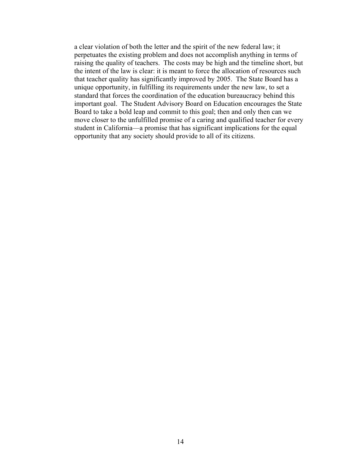a clear violation of both the letter and the spirit of the new federal law; it perpetuates the existing problem and does not accomplish anything in terms of raising the quality of teachers. The costs may be high and the timeline short, but the intent of the law is clear: it is meant to force the allocation of resources such that teacher quality has significantly improved by 2005. The State Board has a unique opportunity, in fulfilling its requirements under the new law, to set a standard that forces the coordination of the education bureaucracy behind this important goal. The Student Advisory Board on Education encourages the State Board to take a bold leap and commit to this goal; then and only then can we move closer to the unfulfilled promise of a caring and qualified teacher for every student in California—a promise that has significant implications for the equal opportunity that any society should provide to all of its citizens.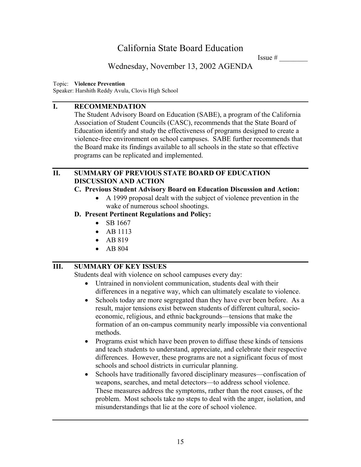Issue  $#$ 

## Wednesday, November 13, 2002 AGENDA

#### Topic: **Violence Prevention**

Speaker: Harshith Reddy Avula, Clovis High School

### **I. RECOMMENDATION**

The Student Advisory Board on Education (SABE), a program of the California Association of Student Councils (CASC), recommends that the State Board of Education identify and study the effectiveness of programs designed to create a violence-free environment on school campuses. SABE further recommends that the Board make its findings available to all schools in the state so that effective programs can be replicated and implemented.

### **II. SUMMARY OF PREVIOUS STATE BOARD OF EDUCATION DISCUSSION AND ACTION**

### **C. Previous Student Advisory Board on Education Discussion and Action:**

• A 1999 proposal dealt with the subject of violence prevention in the wake of numerous school shootings.

### **D. Present Pertinent Regulations and Policy:**

- SB 1667
- AB 1113
- AB 819
- AB 804

## **III. SUMMARY OF KEY ISSUES**

Students deal with violence on school campuses every day:

- Untrained in nonviolent communication, students deal with their differences in a negative way, which can ultimately escalate to violence.
- Schools today are more segregated than they have ever been before. As a result, major tensions exist between students of different cultural, socioeconomic, religious, and ethnic backgrounds—tensions that make the formation of an on-campus community nearly impossible via conventional methods.
- Programs exist which have been proven to diffuse these kinds of tensions and teach students to understand, appreciate, and celebrate their respective differences. However, these programs are not a significant focus of most schools and school districts in curricular planning.
- Schools have traditionally favored disciplinary measures—confiscation of weapons, searches, and metal detectors—to address school violence. These measures address the symptoms, rather than the root causes, of the problem. Most schools take no steps to deal with the anger, isolation, and misunderstandings that lie at the core of school violence.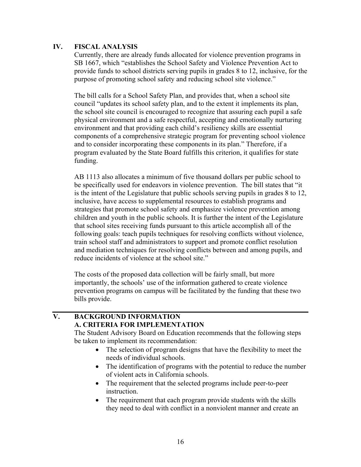#### **IV. FISCAL ANALYSIS**

Currently, there are already funds allocated for violence prevention programs in SB 1667, which "establishes the School Safety and Violence Prevention Act to provide funds to school districts serving pupils in grades 8 to 12, inclusive, for the purpose of promoting school safety and reducing school site violence."

The bill calls for a School Safety Plan, and provides that, when a school site council "updates its school safety plan, and to the extent it implements its plan, the school site council is encouraged to recognize that assuring each pupil a safe physical environment and a safe respectful, accepting and emotionally nurturing environment and that providing each child's resiliency skills are essential components of a comprehensive strategic program for preventing school violence and to consider incorporating these components in its plan." Therefore, if a program evaluated by the State Board fulfills this criterion, it qualifies for state funding.

AB 1113 also allocates a minimum of five thousand dollars per public school to be specifically used for endeavors in violence prevention. The bill states that "it is the intent of the Legislature that public schools serving pupils in grades 8 to 12, inclusive, have access to supplemental resources to establish programs and strategies that promote school safety and emphasize violence prevention among children and youth in the public schools. It is further the intent of the Legislature that school sites receiving funds pursuant to this article accomplish all of the following goals: teach pupils techniques for resolving conflicts without violence, train school staff and administrators to support and promote conflict resolution and mediation techniques for resolving conflicts between and among pupils, and reduce incidents of violence at the school site."

The costs of the proposed data collection will be fairly small, but more importantly, the schools' use of the information gathered to create violence prevention programs on campus will be facilitated by the funding that these two bills provide.

## **V. BACKGROUND INFORMATION A. CRITERIA FOR IMPLEMENTATION**

The Student Advisory Board on Education recommends that the following steps be taken to implement its recommendation:

- The selection of program designs that have the flexibility to meet the needs of individual schools.
- The identification of programs with the potential to reduce the number of violent acts in California schools.
- The requirement that the selected programs include peer-to-peer instruction.
- The requirement that each program provide students with the skills they need to deal with conflict in a nonviolent manner and create an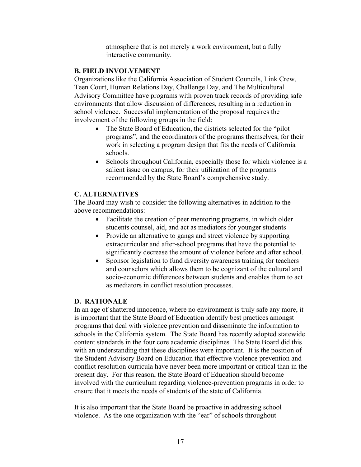atmosphere that is not merely a work environment, but a fully interactive community.

#### **B. FIELD INVOLVEMENT**

Organizations like the California Association of Student Councils, Link Crew, Teen Court, Human Relations Day, Challenge Day, and The Multicultural Advisory Committee have programs with proven track records of providing safe environments that allow discussion of differences, resulting in a reduction in school violence. Successful implementation of the proposal requires the involvement of the following groups in the field:

- The State Board of Education, the districts selected for the "pilot" programs", and the coordinators of the programs themselves, for their work in selecting a program design that fits the needs of California schools.
- Schools throughout California, especially those for which violence is a salient issue on campus, for their utilization of the programs recommended by the State Board's comprehensive study.

## **C. ALTERNATIVES**

The Board may wish to consider the following alternatives in addition to the above recommendations:

- Facilitate the creation of peer mentoring programs, in which older students counsel, aid, and act as mediators for younger students
- Provide an alternative to gangs and street violence by supporting extracurricular and after-school programs that have the potential to significantly decrease the amount of violence before and after school.
- Sponsor legislation to fund diversity awareness training for teachers and counselors which allows them to be cognizant of the cultural and socio-economic differences between students and enables them to act as mediators in conflict resolution processes.

### **D. RATIONALE**

In an age of shattered innocence, where no environment is truly safe any more, it is important that the State Board of Education identify best practices amongst programs that deal with violence prevention and disseminate the information to schools in the California system. The State Board has recently adopted statewide content standards in the four core academic disciplines The State Board did this with an understanding that these disciplines were important. It is the position of the Student Advisory Board on Education that effective violence prevention and conflict resolution curricula have never been more important or critical than in the present day. For this reason, the State Board of Education should become involved with the curriculum regarding violence-prevention programs in order to ensure that it meets the needs of students of the state of California.

It is also important that the State Board be proactive in addressing school violence. As the one organization with the "ear" of schools throughout